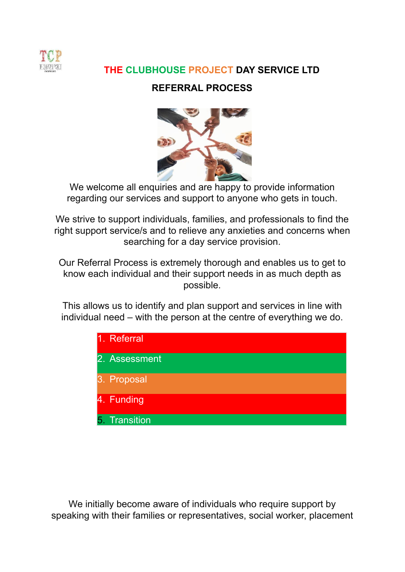

# **THE CLUBHOUSE PROJECT DAY SERVICE LTD**

## **REFERRAL PROCESS**



We welcome all enquiries and are happy to provide information regarding our services and support to anyone who gets in touch.

We strive to support individuals, families, and professionals to find the right support service/s and to relieve any anxieties and concerns when searching for a day service provision.

Our Referral Process is extremely thorough and enables us to get to know each individual and their support needs in as much depth as possible.

This allows us to identify and plan support and services in line with individual need – with the person at the centre of everything we do.



We initially become aware of individuals who require support by speaking with their families or representatives, social worker, placement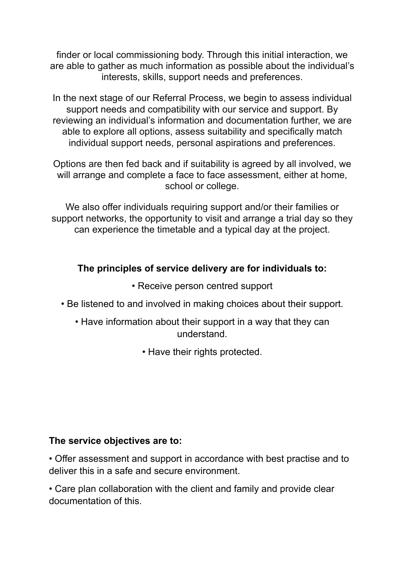finder or local commissioning body. Through this initial interaction, we are able to gather as much information as possible about the individual's interests, skills, support needs and preferences.

In the next stage of our Referral Process, we begin to assess individual support needs and compatibility with our service and support. By reviewing an individual's information and documentation further, we are able to explore all options, assess suitability and specifically match individual support needs, personal aspirations and preferences.

Options are then fed back and if suitability is agreed by all involved, we will arrange and complete a face to face assessment, either at home, school or college.

We also offer individuals requiring support and/or their families or support networks, the opportunity to visit and arrange a trial day so they can experience the timetable and a typical day at the project.

## **The principles of service delivery are for individuals to:**

- Receive person centred support
- Be listened to and involved in making choices about their support.
	- Have information about their support in a way that they can understand.
		- Have their rights protected.

### **The service objectives are to:**

• Offer assessment and support in accordance with best practise and to deliver this in a safe and secure environment.

• Care plan collaboration with the client and family and provide clear documentation of this.